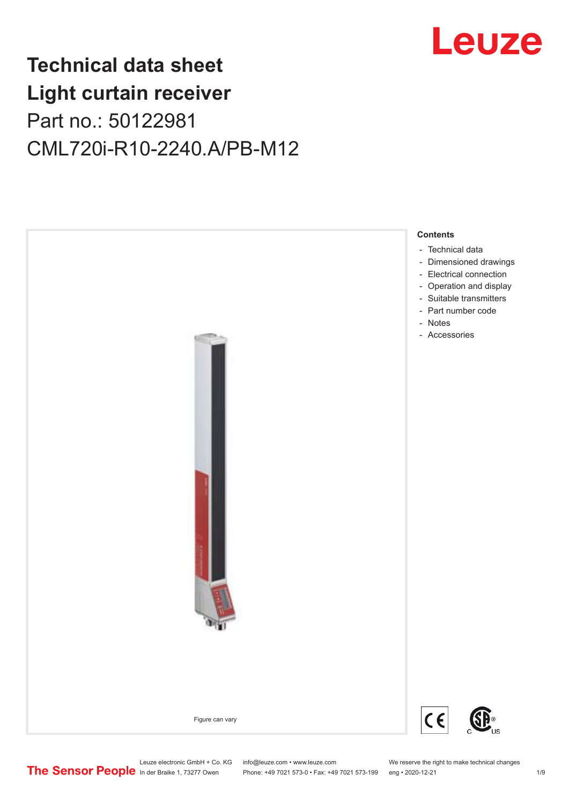

# **Technical data sheet Light curtain receiver** Part no.: 50122981 CML720i-R10-2240.A/PB-M12



Leuze electronic GmbH + Co. KG info@leuze.com • www.leuze.com We reserve the right to make technical changes<br>
The Sensor People in der Braike 1, 73277 Owen Phone: +49 7021 573-0 • Fax: +49 7021 573-199 eng • 2020-12-21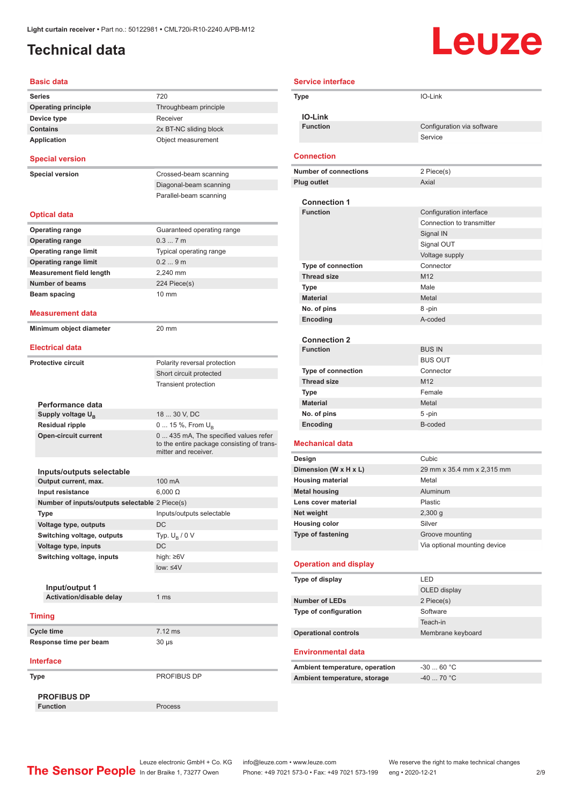### <span id="page-1-0"></span>**Technical data**

# Leuze

| <b>Basic data</b>                              |                                                                                                             |
|------------------------------------------------|-------------------------------------------------------------------------------------------------------------|
| Series                                         | 720                                                                                                         |
| <b>Operating principle</b>                     | Throughbeam principle                                                                                       |
| Device type                                    | Receiver                                                                                                    |
| <b>Contains</b>                                | 2x BT-NC sliding block                                                                                      |
| <b>Application</b>                             | Object measurement                                                                                          |
| <b>Special version</b>                         |                                                                                                             |
| <b>Special version</b>                         | Crossed-beam scanning                                                                                       |
|                                                | Diagonal-beam scanning                                                                                      |
|                                                | Parallel-beam scanning                                                                                      |
| <b>Optical data</b>                            |                                                                                                             |
| <b>Operating range</b>                         | Guaranteed operating range                                                                                  |
| <b>Operating range</b>                         | 0.37m                                                                                                       |
| <b>Operating range limit</b>                   | Typical operating range                                                                                     |
| <b>Operating range limit</b>                   | 0.29m                                                                                                       |
| <b>Measurement field length</b>                | 2.240 mm                                                                                                    |
| <b>Number of beams</b>                         | 224 Piece(s)                                                                                                |
| Beam spacing                                   | 10 mm                                                                                                       |
|                                                |                                                                                                             |
| <b>Measurement data</b>                        |                                                                                                             |
| Minimum object diameter                        | 20 mm                                                                                                       |
| <b>Electrical data</b>                         |                                                                                                             |
| <b>Protective circuit</b>                      | Polarity reversal protection                                                                                |
|                                                | Short circuit protected                                                                                     |
|                                                | <b>Transient protection</b>                                                                                 |
|                                                |                                                                                                             |
| Performance data                               |                                                                                                             |
| Supply voltage $U_{B}$                         | 18  30 V, DC                                                                                                |
| <b>Residual ripple</b>                         | 0  15 %, From $U_{\rm B}$                                                                                   |
| <b>Open-circuit current</b>                    | 0  435 mA, The specified values refer<br>to the entire package consisting of trans-<br>mitter and receiver. |
|                                                |                                                                                                             |
| Inputs/outputs selectable                      |                                                                                                             |
| Output current, max.                           | 100 mA                                                                                                      |
| Input resistance                               | $6.000 \Omega$                                                                                              |
| Number of inputs/outputs selectable 2 Piece(s) |                                                                                                             |
| Type                                           | Inputs/outputs selectable                                                                                   |
| Voltage type, outputs                          | DC                                                                                                          |
| Switching voltage, outputs                     | Typ. $U_R / 0 V$                                                                                            |
| Voltage type, inputs                           | DC                                                                                                          |
| Switching voltage, inputs                      | high: ≥6V                                                                                                   |
|                                                | $low: 4V$                                                                                                   |
|                                                |                                                                                                             |
| Input/output 1<br>Activation/disable delay     | 1 <sub>ms</sub>                                                                                             |
|                                                |                                                                                                             |
| <b>Timing</b>                                  |                                                                                                             |
| Cycle time                                     | $7.12$ ms                                                                                                   |
| Response time per beam                         | $30 \mu s$                                                                                                  |
| <b>Interface</b>                               |                                                                                                             |
| Type                                           | PROFIBUS DP                                                                                                 |
| <b>PROFIBUS DP</b>                             |                                                                                                             |
|                                                |                                                                                                             |

| <b>Service interface</b> |                                |                              |  |
|--------------------------|--------------------------------|------------------------------|--|
|                          | Type                           | IO-Link                      |  |
|                          | <b>IO-Link</b>                 |                              |  |
|                          | <b>Function</b>                | Configuration via software   |  |
|                          |                                | Service                      |  |
|                          | <b>Connection</b>              |                              |  |
|                          |                                |                              |  |
|                          | <b>Number of connections</b>   | 2 Piece(s)                   |  |
|                          | <b>Plug outlet</b>             | Axial                        |  |
|                          | <b>Connection 1</b>            |                              |  |
|                          | <b>Function</b>                | Configuration interface      |  |
|                          |                                | Connection to transmitter    |  |
|                          |                                | Signal IN                    |  |
|                          |                                | Signal OUT                   |  |
|                          |                                | Voltage supply               |  |
|                          | <b>Type of connection</b>      | Connector                    |  |
|                          | <b>Thread size</b>             | M12                          |  |
|                          | Type                           | Male                         |  |
|                          | <b>Material</b>                | Metal                        |  |
|                          | No. of pins                    | 8-pin                        |  |
|                          | Encoding                       | A-coded                      |  |
|                          |                                |                              |  |
|                          | <b>Connection 2</b>            |                              |  |
|                          | <b>Function</b>                | <b>BUS IN</b>                |  |
|                          |                                | <b>BUS OUT</b>               |  |
|                          | <b>Type of connection</b>      | Connector                    |  |
|                          | <b>Thread size</b>             | M12                          |  |
|                          | Type                           | Female                       |  |
|                          | <b>Material</b>                | Metal                        |  |
|                          | No. of pins                    | 5-pin                        |  |
|                          | Encoding                       | B-coded                      |  |
|                          | <b>Mechanical data</b>         |                              |  |
|                          | Design                         | Cubic                        |  |
|                          | Dimension (W x H x L)          | 29 mm x 35.4 mm x 2,315 mm   |  |
|                          | <b>Housing material</b>        | Metal                        |  |
|                          | <b>Metal housing</b>           | Aluminum                     |  |
|                          | Lens cover material            | <b>Plastic</b>               |  |
|                          | Net weight                     | 2,300 g                      |  |
|                          | <b>Housing color</b>           | Silver                       |  |
|                          | <b>Type of fastening</b>       | Groove mounting              |  |
|                          |                                | Via optional mounting device |  |
|                          | <b>Operation and display</b>   |                              |  |
|                          | Type of display                | LED                          |  |
|                          |                                | OLED display                 |  |
|                          | <b>Number of LEDs</b>          | 2 Piece(s)                   |  |
|                          | Type of configuration          | Software                     |  |
|                          |                                | Teach-in                     |  |
|                          | <b>Operational controls</b>    | Membrane keyboard            |  |
|                          |                                |                              |  |
|                          | <b>Environmental data</b>      |                              |  |
|                          | Ambient temperature, operation | $-3060 °C$                   |  |
|                          | Ambient temperature, storage   | $-4070 °C$                   |  |

Leuze electronic GmbH + Co. KG info@leuze.com • www.leuze.com We reserve the right to make technical changes In der Braike 1, 73277 Owen Phone: +49 7021 573-0 • Fax: +49 7021 573-199 eng • 2020-12-21 299 Phone: +49 7021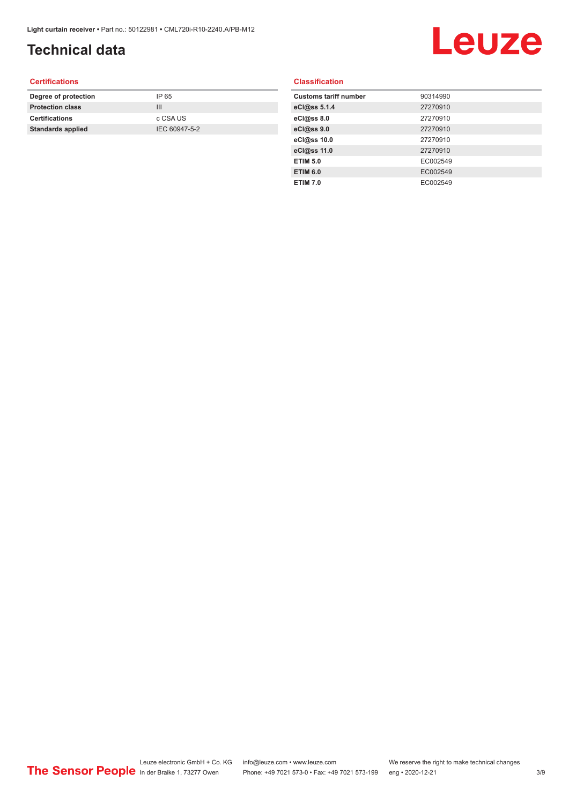## **Technical data**

# Leuze

#### **Certifications**

| Degree of protection     | IP 65         |
|--------------------------|---------------|
| <b>Protection class</b>  | Ш             |
| <b>Certifications</b>    | c CSA US      |
| <b>Standards applied</b> | IEC 60947-5-2 |
|                          |               |

#### **Classification**

| <b>Customs tariff number</b> | 90314990 |
|------------------------------|----------|
| eCl@ss 5.1.4                 | 27270910 |
| eCl@ss 8.0                   | 27270910 |
| eCl@ss 9.0                   | 27270910 |
| eCl@ss 10.0                  | 27270910 |
| eCl@ss 11.0                  | 27270910 |
| <b>ETIM 5.0</b>              | EC002549 |
| <b>ETIM 6.0</b>              | EC002549 |
| <b>ETIM 7.0</b>              | EC002549 |
|                              |          |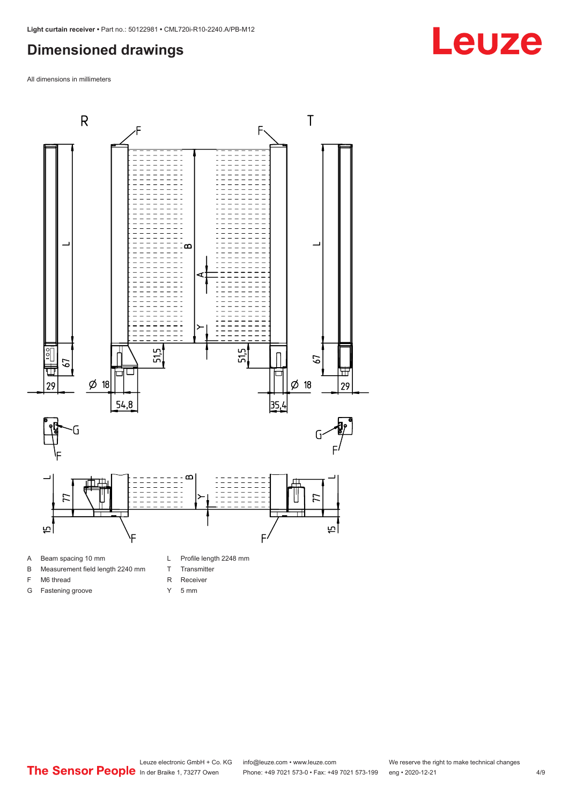#### <span id="page-3-0"></span>**Dimensioned drawings**

All dimensions in millimeters



- A Beam spacing 10 mm
- B Measurement field length 2240 mm
- F M6 thread
- G Fastening groove
- 
- T Transmitter
- R Receiver
- Y 5 mm

**Leuze**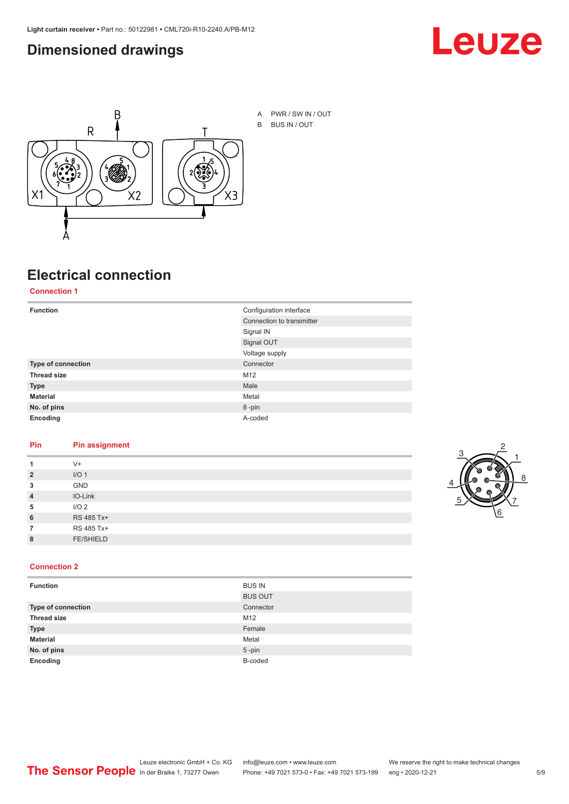#### <span id="page-4-0"></span>**Dimensioned drawings**





# **Electrical connection**

**Connection 1**

| <b>Function</b>    | Configuration interface   |
|--------------------|---------------------------|
|                    | Connection to transmitter |
|                    | Signal IN                 |
|                    | Signal OUT                |
|                    | Voltage supply            |
| Type of connection | Connector                 |
| <b>Thread size</b> | M12                       |
| <b>Type</b>        | Male                      |
| <b>Material</b>    | Metal                     |
| No. of pins        | 8-pin                     |
| Encoding           | A-coded                   |

#### **Pin Pin assignment**

|                | $V +$            |  |  |
|----------------|------------------|--|--|
| $\overline{2}$ | I/O <sub>1</sub> |  |  |
| 3              | <b>GND</b>       |  |  |
| $\overline{4}$ | IO-Link          |  |  |
| 5              | I/O <sub>2</sub> |  |  |
| 6              | RS 485 Tx+       |  |  |
|                | RS 485 Tx+       |  |  |
| 8              | <b>FE/SHIELD</b> |  |  |
|                |                  |  |  |



#### **Connection 2**

| <b>Function</b>    | <b>BUS IN</b>  |
|--------------------|----------------|
|                    | <b>BUS OUT</b> |
| Type of connection | Connector      |
| <b>Thread size</b> | M12            |
| <b>Type</b>        | Female         |
| <b>Material</b>    | Metal          |
| No. of pins        | $5$ -pin       |
| Encoding           | B-coded        |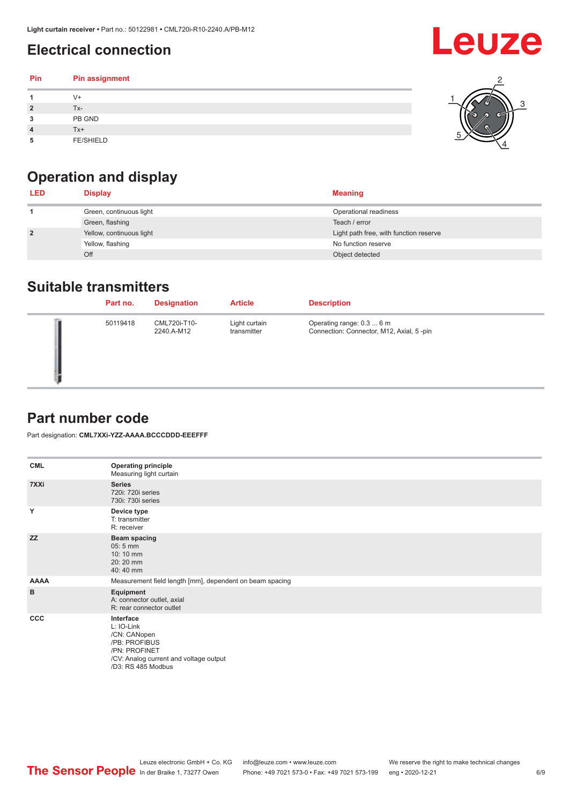### <span id="page-5-0"></span>**Electrical connection**

#### **Pin Pin assignment 1** V+ **2** Tx-**3** PB GND **4** Tx+ **5** FE/SHIELD 3 2 1 5 4

# **Operation and display**

| <b>LED</b>     | <b>Display</b>           | <b>Meaning</b>                         |
|----------------|--------------------------|----------------------------------------|
|                | Green, continuous light  | Operational readiness                  |
|                | Green, flashing          | Teach / error                          |
| $\overline{2}$ | Yellow, continuous light | Light path free, with function reserve |
|                | Yellow, flashing         | No function reserve                    |
|                | Off                      | Object detected                        |

#### **Suitable transmitters**

| Part no. | <b>Designation</b>         | <b>Article</b>               | <b>Description</b>                                                     |
|----------|----------------------------|------------------------------|------------------------------------------------------------------------|
| 50119418 | CML720i-T10-<br>2240.A-M12 | Light curtain<br>transmitter | Operating range: 0.3  6 m<br>Connection: Connector, M12, Axial, 5 -pin |

### **Part number code**

Part designation: **CML7XXi-YZZ-AAAA.BCCCDDD-EEEFFF**

| <b>CML</b>   | <b>Operating principle</b><br>Measuring light curtain                                                                                     |
|--------------|-------------------------------------------------------------------------------------------------------------------------------------------|
| 7XXi         | <b>Series</b><br>720i: 720i series<br>730i: 730i series                                                                                   |
| Y            | Device type<br>T: transmitter<br>R: receiver                                                                                              |
| <b>ZZ</b>    | <b>Beam spacing</b><br>$05:5$ mm<br>10:10 mm<br>20:20 mm<br>40:40 mm                                                                      |
| <b>AAAA</b>  | Measurement field length [mm], dependent on beam spacing                                                                                  |
| B            | Equipment<br>A: connector outlet, axial<br>R: rear connector outlet                                                                       |
| $_{\rm ccc}$ | Interface<br>L: IO-Link<br>/CN: CANopen<br>/PB: PROFIBUS<br>/PN: PROFINET<br>/CV: Analog current and voltage output<br>/D3: RS 485 Modbus |

**Leuze**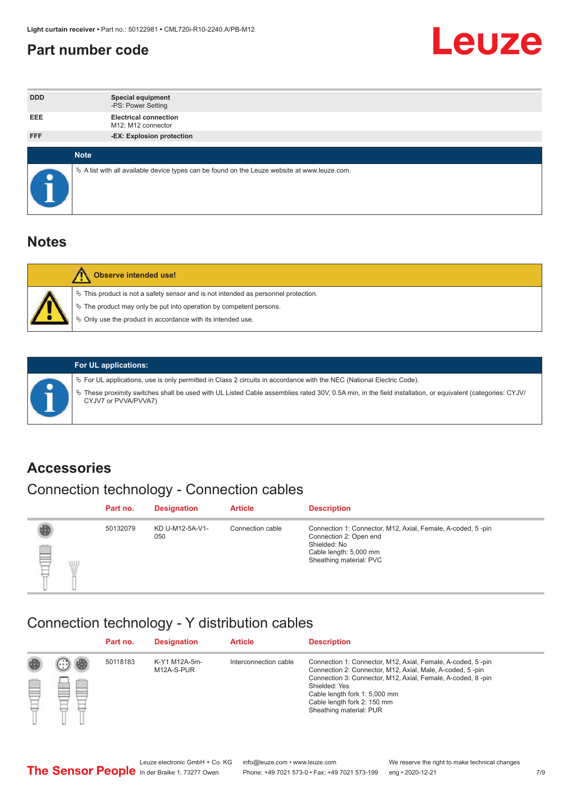#### <span id="page-6-0"></span>**Part number code**



| <b>DDD</b>  | <b>Special equipment</b><br>-PS: Power Setting                                                  |
|-------------|-------------------------------------------------------------------------------------------------|
| <b>EEE</b>  | <b>Electrical connection</b><br>M12: M12 connector                                              |
| <b>FFF</b>  | -EX: Explosion protection                                                                       |
|             |                                                                                                 |
| <b>Note</b> |                                                                                                 |
|             | $\&$ A list with all available device types can be found on the Leuze website at www.leuze.com. |

#### **Notes**

| <b>Observe intended use!</b>                                                                                                                                                                                                  |
|-------------------------------------------------------------------------------------------------------------------------------------------------------------------------------------------------------------------------------|
| $\%$ This product is not a safety sensor and is not intended as personnel protection.<br>$\%$ The product may only be put into operation by competent persons.<br>♦ Only use the product in accordance with its intended use. |



#### **For UL applications:**

ª For UL applications, use is only permitted in Class 2 circuits in accordance with the NEC (National Electric Code). ª These proximity switches shall be used with UL Listed Cable assemblies rated 30V, 0.5A min, in the field installation, or equivalent (categories: CYJV/ CYJV7 or PVVA/PVVA7)

#### **Accessories**

## Connection technology - Connection cables

|        | Part no. | <b>Designation</b>     | <b>Article</b>   | <b>Description</b>                                                                                                                                         |
|--------|----------|------------------------|------------------|------------------------------------------------------------------------------------------------------------------------------------------------------------|
| 2<br>W | 50132079 | KD U-M12-5A-V1-<br>050 | Connection cable | Connection 1: Connector, M12, Axial, Female, A-coded, 5-pin<br>Connection 2: Open end<br>Shielded: No<br>Cable length: 5,000 mm<br>Sheathing material: PVC |

#### Connection technology - Y distribution cables

|        |         | Part no. | <b>Designation</b>          | <b>Article</b>        | <b>Description</b>                                                                                                                                                                                                                                                                                  |
|--------|---------|----------|-----------------------------|-----------------------|-----------------------------------------------------------------------------------------------------------------------------------------------------------------------------------------------------------------------------------------------------------------------------------------------------|
| ø<br>٣ | œ<br>w. | 50118183 | K-Y1 M12A-5m-<br>M12A-S-PUR | Interconnection cable | Connection 1: Connector, M12, Axial, Female, A-coded, 5-pin<br>Connection 2: Connector, M12, Axial, Male, A-coded, 5-pin<br>Connection 3: Connector, M12, Axial, Female, A-coded, 8-pin<br>Shielded: Yes<br>Cable length fork 1: 5,000 mm<br>Cable length fork 2: 150 mm<br>Sheathing material: PUR |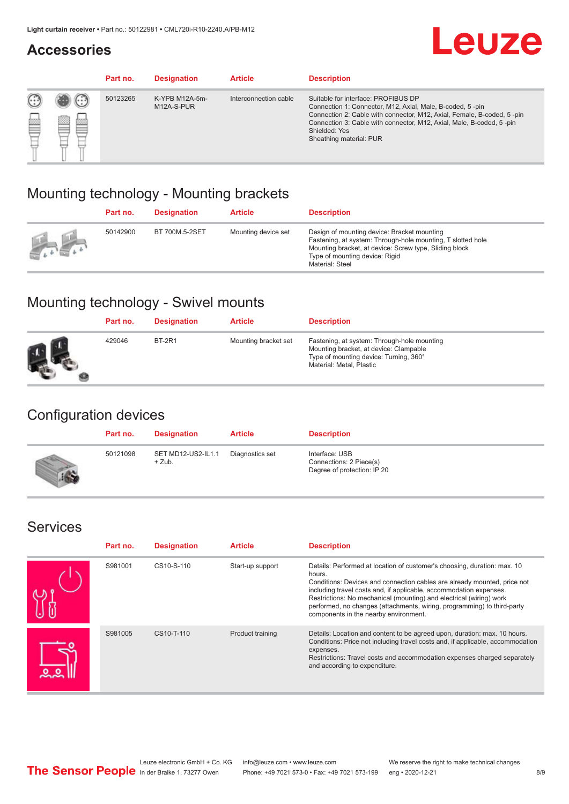#### **Accessories**

# **Leuze**

|   |        | Part no. | <b>Designation</b>           | <b>Article</b>        | <b>Description</b>                                                                                                                                                                                                                                                                             |
|---|--------|----------|------------------------------|-----------------------|------------------------------------------------------------------------------------------------------------------------------------------------------------------------------------------------------------------------------------------------------------------------------------------------|
| 您 | ×<br>一 | 50123265 | K-YPB M12A-5m-<br>M12A-S-PUR | Interconnection cable | Suitable for interface: PROFIBUS DP<br>Connection 1: Connector, M12, Axial, Male, B-coded, 5-pin<br>Connection 2: Cable with connector, M12, Axial, Female, B-coded, 5-pin<br>Connection 3: Cable with connector, M12, Axial, Male, B-coded, 5-pin<br>Shielded: Yes<br>Sheathing material: PUR |

### Mounting technology - Mounting brackets

|               | Part no. | <b>Designation</b> | <b>Article</b>      | <b>Description</b>                                                                                                                                                                                                        |
|---------------|----------|--------------------|---------------------|---------------------------------------------------------------------------------------------------------------------------------------------------------------------------------------------------------------------------|
| $\frac{1}{2}$ | 50142900 | BT 700M.5-2SET     | Mounting device set | Design of mounting device: Bracket mounting<br>Fastening, at system: Through-hole mounting, T slotted hole<br>Mounting bracket, at device: Screw type, Sliding block<br>Type of mounting device: Rigid<br>Material: Steel |

## Mounting technology - Swivel mounts

| Part no. | <b>Designation</b> | <b>Article</b>       | <b>Description</b>                                                                                                                                          |
|----------|--------------------|----------------------|-------------------------------------------------------------------------------------------------------------------------------------------------------------|
| 429046   | <b>BT-2R1</b>      | Mounting bracket set | Fastening, at system: Through-hole mounting<br>Mounting bracket, at device: Clampable<br>Type of mounting device: Turning, 360°<br>Material: Metal, Plastic |

### Configuration devices

| Part no. | <b>Designation</b>             | <b>Article</b>  | <b>Description</b>                                                       |
|----------|--------------------------------|-----------------|--------------------------------------------------------------------------|
| 50121098 | SET MD12-US2-IL1.1<br>$+$ Zub. | Diagnostics set | Interface: USB<br>Connections: 2 Piece(s)<br>Degree of protection: IP 20 |

#### Services

| Part no. | <b>Designation</b> | <b>Article</b>   | <b>Description</b>                                                                                                                                                                                                                                                                                                                                                                                                              |
|----------|--------------------|------------------|---------------------------------------------------------------------------------------------------------------------------------------------------------------------------------------------------------------------------------------------------------------------------------------------------------------------------------------------------------------------------------------------------------------------------------|
| S981001  | CS10-S-110         | Start-up support | Details: Performed at location of customer's choosing, duration: max. 10<br>hours.<br>Conditions: Devices and connection cables are already mounted, price not<br>including travel costs and, if applicable, accommodation expenses.<br>Restrictions: No mechanical (mounting) and electrical (wiring) work<br>performed, no changes (attachments, wiring, programming) to third-party<br>components in the nearby environment. |
| S981005  | CS10-T-110         | Product training | Details: Location and content to be agreed upon, duration: max. 10 hours.<br>Conditions: Price not including travel costs and, if applicable, accommodation<br>expenses.<br>Restrictions: Travel costs and accommodation expenses charged separately<br>and according to expenditure.                                                                                                                                           |